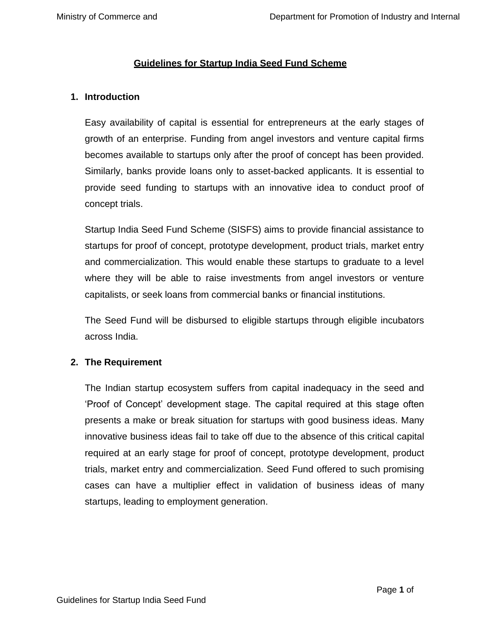### **Guidelines for Startup India Seed Fund Scheme**

#### **1. Introduction**

Easy availability of capital is essential for entrepreneurs at the early stages of growth of an enterprise. Funding from angel investors and venture capital firms becomes available to startups only after the proof of concept has been provided. Similarly, banks provide loans only to asset-backed applicants. It is essential to provide seed funding to startups with an innovative idea to conduct proof of concept trials.

Startup India Seed Fund Scheme (SISFS) aims to provide financial assistance to startups for proof of concept, prototype development, product trials, market entry and commercialization. This would enable these startups to graduate to a level where they will be able to raise investments from angel investors or venture capitalists, or seek loans from commercial banks or financial institutions.

The Seed Fund will be disbursed to eligible startups through eligible incubators across India.

### **2. The Requirement**

The Indian startup ecosystem suffers from capital inadequacy in the seed and 'Proof of Concept' development stage. The capital required at this stage often presents a make or break situation for startups with good business ideas. Many innovative business ideas fail to take off due to the absence of this critical capital required at an early stage for proof of concept, prototype development, product trials, market entry and commercialization. Seed Fund offered to such promising cases can have a multiplier effect in validation of business ideas of many startups, leading to employment generation.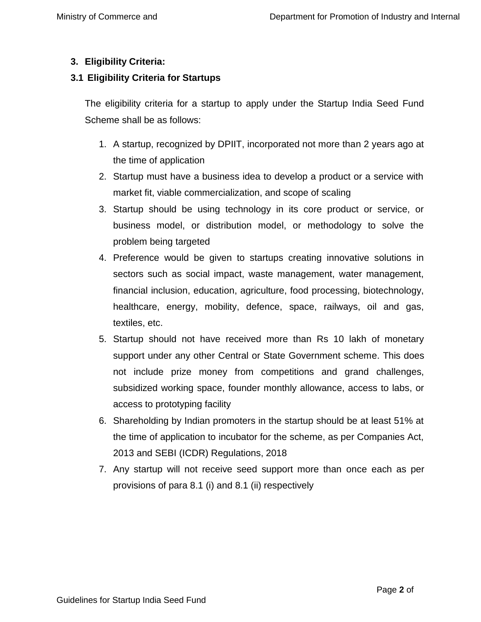# **3. Eligibility Criteria:**

## **3.1 Eligibility Criteria for Startups**

The eligibility criteria for a startup to apply under the Startup India Seed Fund Scheme shall be as follows:

- 1. A startup, recognized by DPIIT, incorporated not more than 2 years ago at the time of application
- 2. Startup must have a business idea to develop a product or a service with market fit, viable commercialization, and scope of scaling
- 3. Startup should be using technology in its core product or service, or business model, or distribution model, or methodology to solve the problem being targeted
- 4. Preference would be given to startups creating innovative solutions in sectors such as social impact, waste management, water management, financial inclusion, education, agriculture, food processing, biotechnology, healthcare, energy, mobility, defence, space, railways, oil and gas, textiles, etc.
- 5. Startup should not have received more than Rs 10 lakh of monetary support under any other Central or State Government scheme. This does not include prize money from competitions and grand challenges, subsidized working space, founder monthly allowance, access to labs, or access to prototyping facility
- 6. Shareholding by Indian promoters in the startup should be at least 51% at the time of application to incubator for the scheme, as per Companies Act, 2013 and SEBI (ICDR) Regulations, 2018
- 7. Any startup will not receive seed support more than once each as per provisions of para 8.1 (i) and 8.1 (ii) respectively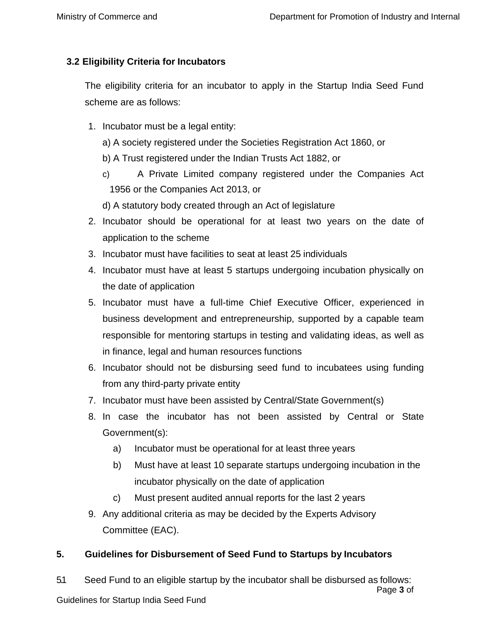## **3.2 Eligibility Criteria for Incubators**

The eligibility criteria for an incubator to apply in the Startup India Seed Fund scheme are as follows:

- 1. Incubator must be a legal entity:
	- a) A society registered under the Societies Registration Act 1860, or
	- b) A Trust registered under the Indian Trusts Act 1882, or
	- c) A Private Limited company registered under the Companies Act 1956 or the Companies Act 2013, or
	- d) A statutory body created through an Act of legislature
- 2. Incubator should be operational for at least two years on the date of application to the scheme
- 3. Incubator must have facilities to seat at least 25 individuals
- 4. Incubator must have at least 5 startups undergoing incubation physically on the date of application
- 5. Incubator must have a full-time Chief Executive Officer, experienced in business development and entrepreneurship, supported by a capable team responsible for mentoring startups in testing and validating ideas, as well as in finance, legal and human resources functions
- 6. Incubator should not be disbursing seed fund to incubatees using funding from any third-party private entity
- 7. Incubator must have been assisted by Central/State Government(s)
- 8. In case the incubator has not been assisted by Central or State Government(s):
	- a) Incubator must be operational for at least three years
	- b) Must have at least 10 separate startups undergoing incubation in the incubator physically on the date of application
	- c) Must present audited annual reports for the last 2 years
- 9. Any additional criteria as may be decided by the Experts Advisory Committee (EAC).

### **5. Guidelines for Disbursement of Seed Fund to Startups by Incubators**

Page **3** of Guidelines for Startup India Seed Fund **14** 5.1 Seed Fund to an eligible startup by the incubator shall be disbursed as follows: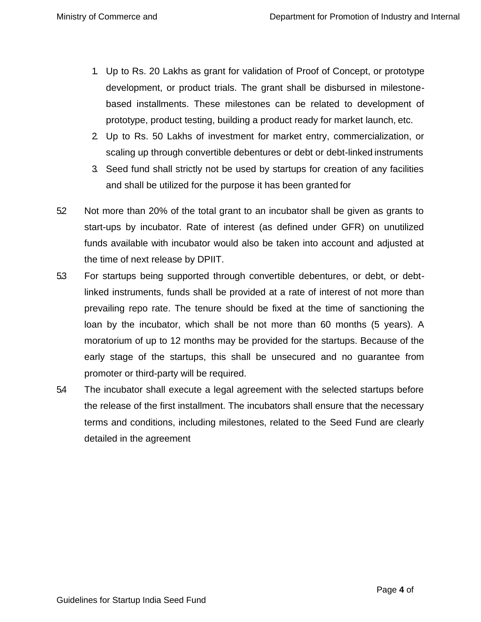- 1. Up to Rs. 20 Lakhs as grant for validation of Proof of Concept, or prototype development, or product trials. The grant shall be disbursed in milestonebased installments. These milestones can be related to development of prototype, product testing, building a product ready for market launch, etc.
- 2. Up to Rs. 50 Lakhs of investment for market entry, commercialization, or scaling up through convertible debentures or debt or debt-linked instruments
- 3. Seed fund shall strictly not be used by startups for creation of any facilities and shall be utilized for the purpose it has been granted for
- 52 Not more than 20% of the total grant to an incubator shall be given as grants to start-ups by incubator. Rate of interest (as defined under GFR) on unutilized funds available with incubator would also be taken into account and adjusted at the time of next release by DPIIT.
- 5.3 For startups being supported through convertible debentures, or debt, or debtlinked instruments, funds shall be provided at a rate of interest of not more than prevailing repo rate. The tenure should be fixed at the time of sanctioning the loan by the incubator, which shall be not more than 60 months (5 years). A moratorium of up to 12 months may be provided for the startups. Because of the early stage of the startups, this shall be unsecured and no guarantee from promoter or third-party will be required.
- 5.4 The incubator shall execute a legal agreement with the selected startups before the release of the first installment. The incubators shall ensure that the necessary terms and conditions, including milestones, related to the Seed Fund are clearly detailed in the agreement